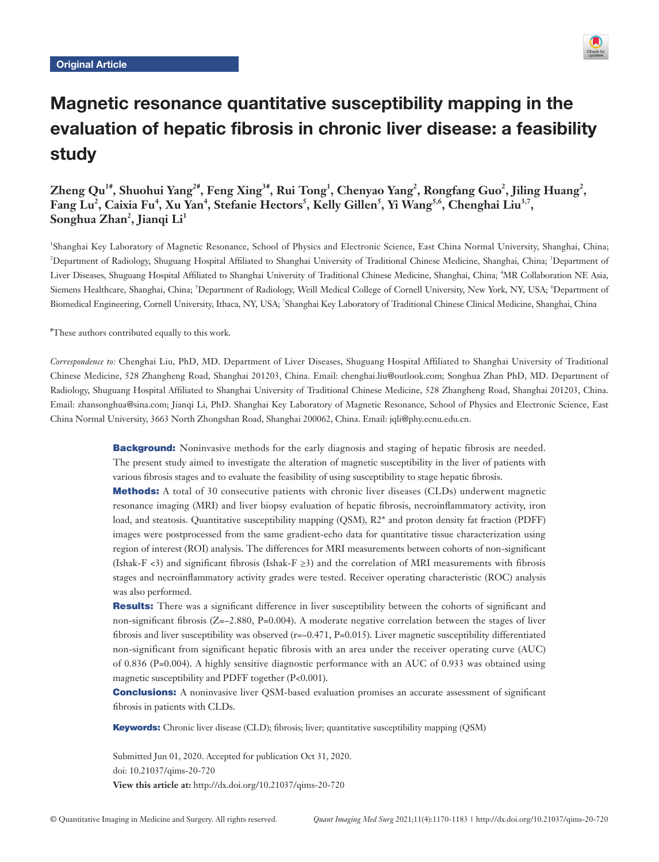

# Magnetic resonance quantitative susceptibility mapping in the evaluation of hepatic fibrosis in chronic liver disease: a feasibility study

# Zheng Qu<sup>1#</sup>, Shuohui Yang<sup>2#</sup>, Feng Xing<sup>3#</sup>, Rui Tong<sup>1</sup>, Chenyao Yang<sup>2</sup>, Rongfang Guo<sup>2</sup>, Jiling Huang<sup>2</sup>,  $\mathbf{Fang \: Lu^2, Caixia \: Fu^4, Xu \: Yan^4, Stefanie \: Hectors^5, Kelly Gillen^5, Yi Wang^{5,6}, Chenghai Liu^{3,7},$  $\mathbf{Songhua Zhan}^{2}, \mathbf{Jiangi Li}^{1}$

1 Shanghai Key Laboratory of Magnetic Resonance, School of Physics and Electronic Science, East China Normal University, Shanghai, China; <sup>2</sup>Department of Radiology, Shuguang Hospital Affiliated to Shanghai University of Traditional Chinese Medicine, Shanghai, China; <sup>3</sup>Department of Liver Diseases, Shuguang Hospital Affiliated to Shanghai University of Traditional Chinese Medicine, Shanghai, China; <sup>4</sup> MR Collaboration NE Asia, Siemens Healthcare, Shanghai, China; <sup>5</sup>Department of Radiology, Weill Medical College of Cornell University, New York, NY, USA; <sup>6</sup>Department of Biomedical Engineering, Cornell University, Ithaca, NY, USA; <sup>7</sup>Shanghai Key Laboratory of Traditional Chinese Clinical Medicine, Shanghai, China

# These authors contributed equally to this work.

*Correspondence to:* Chenghai Liu, PhD, MD. Department of Liver Diseases, Shuguang Hospital Affiliated to Shanghai University of Traditional Chinese Medicine, 528 Zhangheng Road, Shanghai 201203, China. Email: chenghai.liu@outlook.com; Songhua Zhan PhD, MD. Department of Radiology, Shuguang Hospital Affiliated to Shanghai University of Traditional Chinese Medicine, 528 Zhangheng Road, Shanghai 201203, China. Email: zhansonghua@sina.com; Jianqi Li, PhD. Shanghai Key Laboratory of Magnetic Resonance, School of Physics and Electronic Science, East China Normal University, 3663 North Zhongshan Road, Shanghai 200062, China. Email: jqli@phy.ecnu.edu.cn.

> **Background:** Noninvasive methods for the early diagnosis and staging of hepatic fibrosis are needed. The present study aimed to investigate the alteration of magnetic susceptibility in the liver of patients with various fibrosis stages and to evaluate the feasibility of using susceptibility to stage hepatic fibrosis.

> **Methods:** A total of 30 consecutive patients with chronic liver diseases (CLDs) underwent magnetic resonance imaging (MRI) and liver biopsy evaluation of hepatic fibrosis, necroinflammatory activity, iron load, and steatosis. Quantitative susceptibility mapping (QSM), R2<sup>\*</sup> and proton density fat fraction (PDFF) images were postprocessed from the same gradient-echo data for quantitative tissue characterization using region of interest (ROI) analysis. The differences for MRI measurements between cohorts of non-significant (Ishak-F <3) and significant fibrosis (Ishak-F  $\geq$ 3) and the correlation of MRI measurements with fibrosis stages and necroinflammatory activity grades were tested. Receiver operating characteristic (ROC) analysis was also performed.

> Results: There was a significant difference in liver susceptibility between the cohorts of significant and non-significant fibrosis (Z=−2.880, P=0.004). A moderate negative correlation between the stages of liver fibrosis and liver susceptibility was observed (r=−0.471, P=0.015). Liver magnetic susceptibility differentiated non-significant from significant hepatic fibrosis with an area under the receiver operating curve (AUC) of 0.836 (P=0.004). A highly sensitive diagnostic performance with an AUC of 0.933 was obtained using magnetic susceptibility and PDFF together (P<0.001).

> **Conclusions:** A noninvasive liver QSM-based evaluation promises an accurate assessment of significant fibrosis in patients with CLDs.

Keywords: Chronic liver disease (CLD); fibrosis; liver; quantitative susceptibility mapping (QSM)

Submitted Jun 01, 2020. Accepted for publication Oct 31, 2020. doi: 10.21037/qims-20-720 **View this article at:** http://dx.doi.org/10.21037/qims-20-720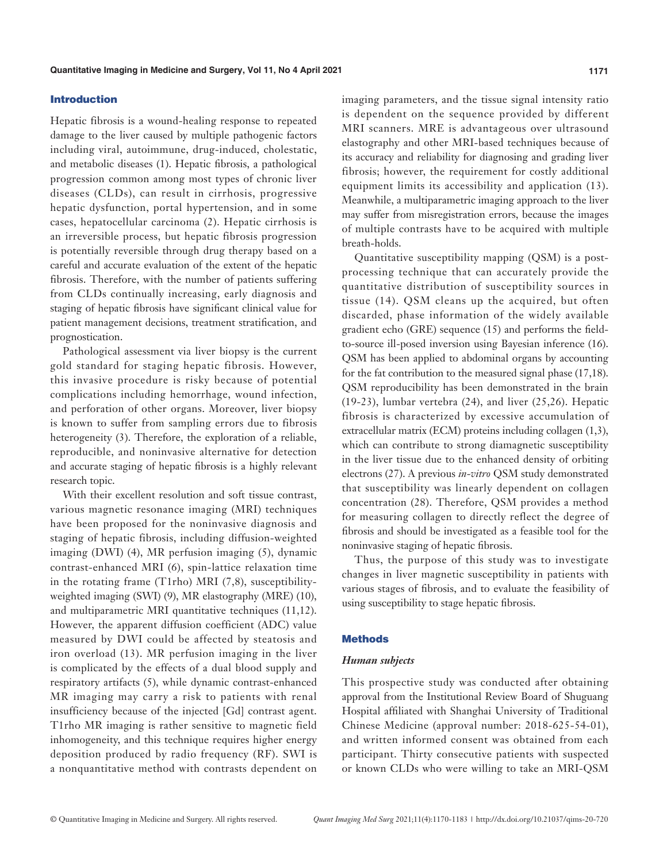# Introduction

Hepatic fibrosis is a wound-healing response to repeated damage to the liver caused by multiple pathogenic factors including viral, autoimmune, drug-induced, cholestatic, and metabolic diseases (1). Hepatic fibrosis, a pathological progression common among most types of chronic liver diseases (CLDs), can result in cirrhosis, progressive hepatic dysfunction, portal hypertension, and in some cases, hepatocellular carcinoma (2). Hepatic cirrhosis is an irreversible process, but hepatic fibrosis progression is potentially reversible through drug therapy based on a careful and accurate evaluation of the extent of the hepatic fibrosis. Therefore, with the number of patients suffering from CLDs continually increasing, early diagnosis and staging of hepatic fibrosis have significant clinical value for patient management decisions, treatment stratification, and prognostication.

Pathological assessment via liver biopsy is the current gold standard for staging hepatic fibrosis. However, this invasive procedure is risky because of potential complications including hemorrhage, wound infection, and perforation of other organs. Moreover, liver biopsy is known to suffer from sampling errors due to fibrosis heterogeneity (3). Therefore, the exploration of a reliable, reproducible, and noninvasive alternative for detection and accurate staging of hepatic fibrosis is a highly relevant research topic.

With their excellent resolution and soft tissue contrast, various magnetic resonance imaging (MRI) techniques have been proposed for the noninvasive diagnosis and staging of hepatic fibrosis, including diffusion-weighted imaging (DWI) (4), MR perfusion imaging (5), dynamic contrast-enhanced MRI (6), spin-lattice relaxation time in the rotating frame (T1rho) MRI (7,8), susceptibilityweighted imaging (SWI) (9), MR elastography (MRE) (10), and multiparametric MRI quantitative techniques (11,12). However, the apparent diffusion coefficient (ADC) value measured by DWI could be affected by steatosis and iron overload (13). MR perfusion imaging in the liver is complicated by the effects of a dual blood supply and respiratory artifacts (5), while dynamic contrast-enhanced MR imaging may carry a risk to patients with renal insufficiency because of the injected [Gd] contrast agent. T1rho MR imaging is rather sensitive to magnetic field inhomogeneity, and this technique requires higher energy deposition produced by radio frequency (RF). SWI is a nonquantitative method with contrasts dependent on imaging parameters, and the tissue signal intensity ratio is dependent on the sequence provided by different MRI scanners. MRE is advantageous over ultrasound elastography and other MRI-based techniques because of its accuracy and reliability for diagnosing and grading liver fibrosis; however, the requirement for costly additional equipment limits its accessibility and application (13). Meanwhile, a multiparametric imaging approach to the liver may suffer from misregistration errors, because the images of multiple contrasts have to be acquired with multiple breath-holds.

Quantitative susceptibility mapping (QSM) is a postprocessing technique that can accurately provide the quantitative distribution of susceptibility sources in tissue (14). QSM cleans up the acquired, but often discarded, phase information of the widely available gradient echo (GRE) sequence (15) and performs the fieldto-source ill-posed inversion using Bayesian inference (16). QSM has been applied to abdominal organs by accounting for the fat contribution to the measured signal phase (17,18). QSM reproducibility has been demonstrated in the brain (19-23), lumbar vertebra (24), and liver (25,26). Hepatic fibrosis is characterized by excessive accumulation of extracellular matrix (ECM) proteins including collagen (1,3), which can contribute to strong diamagnetic susceptibility in the liver tissue due to the enhanced density of orbiting electrons (27). A previous *in*-*vitro* QSM study demonstrated that susceptibility was linearly dependent on collagen concentration (28). Therefore, QSM provides a method for measuring collagen to directly reflect the degree of fibrosis and should be investigated as a feasible tool for the noninvasive staging of hepatic fibrosis.

Thus, the purpose of this study was to investigate changes in liver magnetic susceptibility in patients with various stages of fibrosis, and to evaluate the feasibility of using susceptibility to stage hepatic fibrosis.

# **Methods**

#### *Human subjects*

This prospective study was conducted after obtaining approval from the Institutional Review Board of Shuguang Hospital affiliated with Shanghai University of Traditional Chinese Medicine (approval number: 2018-625-54-01), and written informed consent was obtained from each participant. Thirty consecutive patients with suspected or known CLDs who were willing to take an MRI-QSM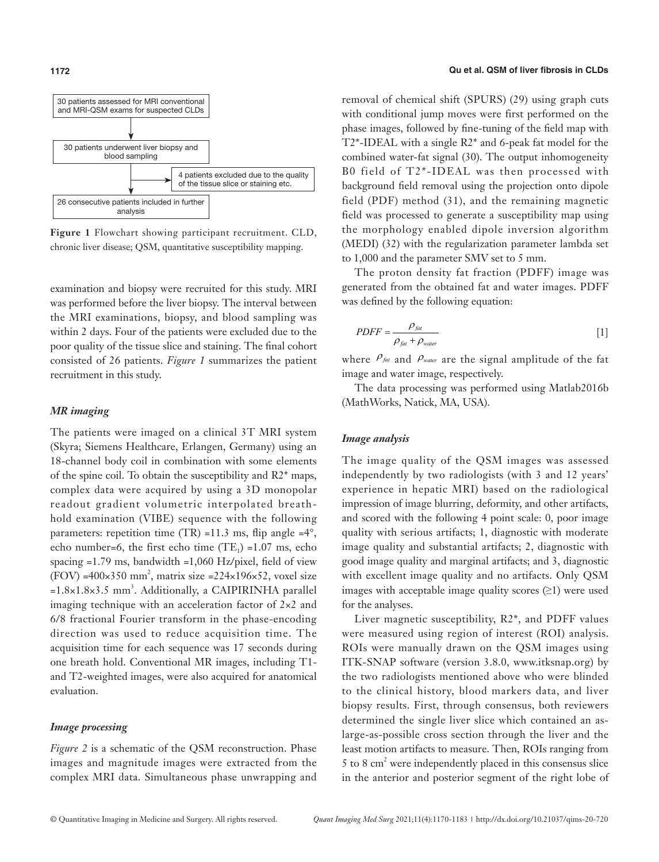

**Figure 1** Flowchart showing participant recruitment. CLD, chronic liver disease; QSM, quantitative susceptibility mapping.

examination and biopsy were recruited for this study. MRI was performed before the liver biopsy. The interval between the MRI examinations, biopsy, and blood sampling was within 2 days. Four of the patients were excluded due to the poor quality of the tissue slice and staining. The final cohort consisted of 26 patients. *Figure 1* summarizes the patient recruitment in this study.

# *MR imaging*

The patients were imaged on a clinical 3T MRI system (Skyra; Siemens Healthcare, Erlangen, Germany) using an 18-channel body coil in combination with some elements of the spine coil. To obtain the susceptibility and R2\* maps, complex data were acquired by using a 3D monopolar readout gradient volumetric interpolated breathhold examination (VIBE) sequence with the following parameters: repetition time  $(TR) = 11.3$  ms, flip angle  $= 4^{\circ}$ , echo number=6, the first echo time  $(TE_1)$  =1.07 ms, echo spacing  $=1.79$  ms, bandwidth  $=1,060$  Hz/pixel, field of view  $(FOV) = 400 \times 350$  mm<sup>2</sup>, matrix size = 224×196×52, voxel size  $=1.8\times1.8\times3.5$  mm<sup>3</sup>. Additionally, a CAIPIRINHA parallel imaging technique with an acceleration factor of 2×2 and 6/8 fractional Fourier transform in the phase-encoding direction was used to reduce acquisition time. The acquisition time for each sequence was 17 seconds during one breath hold. Conventional MR images, including T1 and T2-weighted images, were also acquired for anatomical evaluation.

# *Image processing*

*Figure 2* is a schematic of the QSM reconstruction. Phase images and magnitude images were extracted from the complex MRI data. Simultaneous phase unwrapping and

removal of chemical shift (SPURS) (29) using graph cuts with conditional jump moves were first performed on the phase images, followed by fine-tuning of the field map with T2\*-IDEAL with a single R2\* and 6-peak fat model for the combined water-fat signal (30). The output inhomogeneity B0 field of T2\*-IDEAL was then processed with background field removal using the projection onto dipole field (PDF) method (31), and the remaining magnetic field was processed to generate a susceptibility map using the morphology enabled dipole inversion algorithm (MEDI) (32) with the regularization parameter lambda set to 1,000 and the parameter SMV set to 5 mm.

The proton density fat fraction (PDFF) image was generated from the obtained fat and water images. PDFF was defined by the following equation:

$$
PDF = \frac{\rho_{fat}}{\rho_{fat} + \rho_{water}}
$$
 [1]

where  $\rho_{\text{fat}}$  and  $\rho_{\text{water}}$  are the signal amplitude of the fat image and water image, respectively.

The data processing was performed using Matlab2016b (MathWorks, Natick, MA, USA).

### *Image analysis*

The image quality of the QSM images was assessed independently by two radiologists (with 3 and 12 years' experience in hepatic MRI) based on the radiological impression of image blurring, deformity, and other artifacts, and scored with the following 4 point scale: 0, poor image quality with serious artifacts; 1, diagnostic with moderate image quality and substantial artifacts; 2, diagnostic with good image quality and marginal artifacts; and 3, diagnostic with excellent image quality and no artifacts. Only QSM images with acceptable image quality scores  $(\geq 1)$  were used for the analyses.

Liver magnetic susceptibility, R2\*, and PDFF values were measured using region of interest (ROI) analysis. ROIs were manually drawn on the QSM images using ITK-SNAP software (version 3.8.0, [www.itksnap.org](http://www.itksnap.org/)) by the two radiologists mentioned above who were blinded to the clinical history, blood markers data, and liver biopsy results. First, through consensus, both reviewers determined the single liver slice which contained an aslarge-as-possible cross section through the liver and the least motion artifacts to measure. Then, ROIs ranging from 5 to 8 cm2 were independently placed in this consensus slice in the anterior and posterior segment of the right lobe of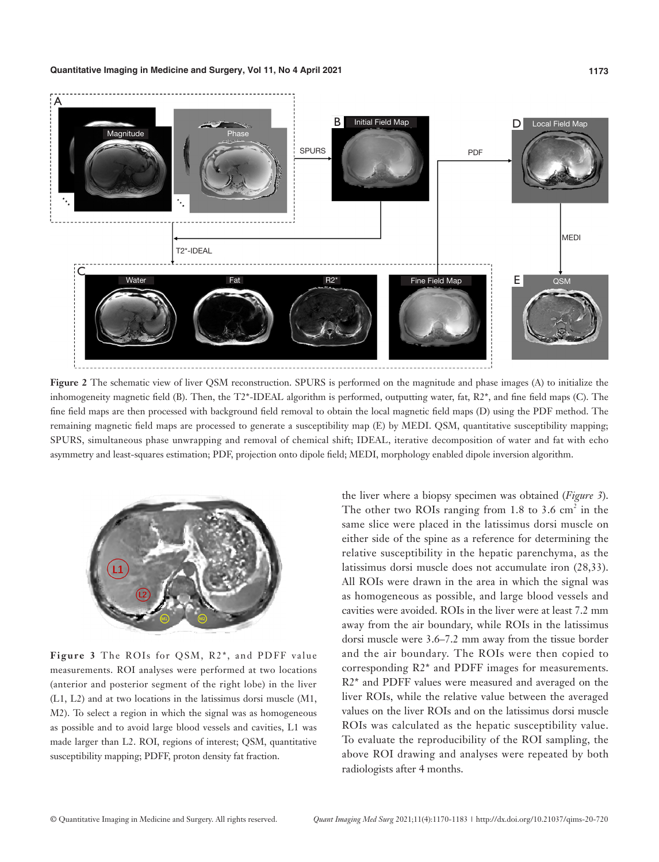

**Figure 2** The schematic view of liver QSM reconstruction. SPURS is performed on the magnitude and phase images (A) to initialize the inhomogeneity magnetic field (B). Then, the T2\*-IDEAL algorithm is performed, outputting water, fat, R2\*, and fine field maps (C). The fine field maps are then processed with background field removal to obtain the local magnetic field maps (D) using the PDF method. The remaining magnetic field maps are processed to generate a susceptibility map (E) by MEDI. QSM, quantitative susceptibility mapping; SPURS, simultaneous phase unwrapping and removal of chemical shift; IDEAL, iterative decomposition of water and fat with echo asymmetry and least-squares estimation; PDF, projection onto dipole field; MEDI, morphology enabled dipole inversion algorithm.



**Figure 3** The ROIs for QSM, R2\*, and PDFF value measurements. ROI analyses were performed at two locations (anterior and posterior segment of the right lobe) in the liver (L1, L2) and at two locations in the latissimus dorsi muscle (M1, M2). To select a region in which the signal was as homogeneous as possible and to avoid large blood vessels and cavities, L1 was made larger than L2. ROI, regions of interest; QSM, quantitative susceptibility mapping; PDFF, proton density fat fraction.

the liver where a biopsy specimen was obtained (*Figure 3*). The other two ROIs ranging from  $1.8$  to  $3.6 \text{ cm}^2$  in the same slice were placed in the latissimus dorsi muscle on either side of the spine as a reference for determining the relative susceptibility in the hepatic parenchyma, as the latissimus dorsi muscle does not accumulate iron (28,33). All ROIs were drawn in the area in which the signal was as homogeneous as possible, and large blood vessels and cavities were avoided. ROIs in the liver were at least 7.2 mm away from the air boundary, while ROIs in the latissimus dorsi muscle were 3.6–7.2 mm away from the tissue border and the air boundary. The ROIs were then copied to corresponding R2\* and PDFF images for measurements. R2\* and PDFF values were measured and averaged on the liver ROIs, while the relative value between the averaged values on the liver ROIs and on the latissimus dorsi muscle ROIs was calculated as the hepatic susceptibility value. To evaluate the reproducibility of the ROI sampling, the above ROI drawing and analyses were repeated by both radiologists after 4 months.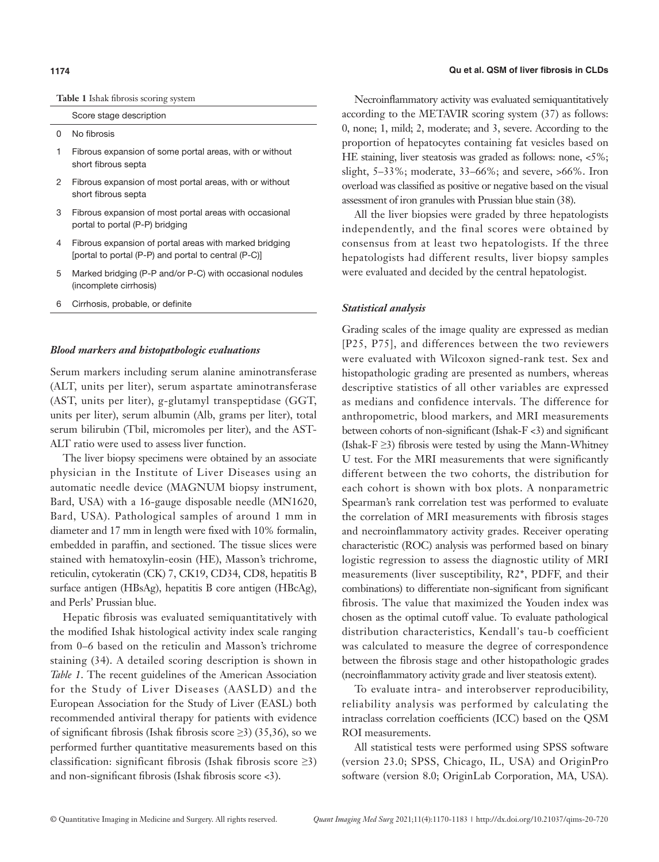**Table 1** Ishak fibrosis scoring system

Score stage description

- 0 No fibrosis
- 1 Fibrous expansion of some portal areas, with or without short fibrous septa
- 2 Fibrous expansion of most portal areas, with or without short fibrous septa
- 3 Fibrous expansion of most portal areas with occasional portal to portal (P-P) bridging
- 4 Fibrous expansion of portal areas with marked bridging [portal to portal (P-P) and portal to central (P-C)]
- 5 Marked bridging (P-P and/or P-C) with occasional nodules (incomplete cirrhosis)
- 6 Cirrhosis, probable, or definite

#### *Blood markers and histopathologic evaluations*

Serum markers including serum alanine aminotransferase (ALT, units per liter), serum aspartate aminotransferase (AST, units per liter), g-glutamyl transpeptidase (GGT, units per liter), serum albumin (Alb, grams per liter), total serum bilirubin (Tbil, micromoles per liter), and the AST-ALT ratio were used to assess liver function.

The liver biopsy specimens were obtained by an associate physician in the Institute of Liver Diseases using an automatic needle device (MAGNUM biopsy instrument, Bard, USA) with a 16-gauge disposable needle (MN1620, Bard, USA). Pathological samples of around 1 mm in diameter and 17 mm in length were fixed with 10% formalin, embedded in paraffin, and sectioned. The tissue slices were stained with hematoxylin-eosin (HE), Masson's trichrome, reticulin, cytokeratin (CK) 7, CK19, CD34, CD8, hepatitis B surface antigen (HBsAg), hepatitis B core antigen (HBcAg), and Perls' Prussian blue.

Hepatic fibrosis was evaluated semiquantitatively with the modified Ishak histological activity index scale ranging from 0–6 based on the reticulin and Masson's trichrome staining (34). A detailed scoring description is shown in *Table 1*. The recent guidelines of the American Association for the Study of Liver Diseases (AASLD) and the European Association for the Study of Liver (EASL) both recommended antiviral therapy for patients with evidence of significant fibrosis (Ishak fibrosis score  $\geq$ 3) (35,36), so we performed further quantitative measurements based on this classification: significant fibrosis (Ishak fibrosis score  $\geq 3$ ) and non-significant fibrosis (Ishak fibrosis score <3).

#### **1174 Qu et al. QSM of liver fibrosis in CLDs**

Necroinflammatory activity was evaluated semiquantitatively according to the METAVIR scoring system (37) as follows: 0, none; 1, mild; 2, moderate; and 3, severe. According to the proportion of hepatocytes containing fat vesicles based on HE staining, liver steatosis was graded as follows: none, <5%; slight, 5–33%; moderate, 33–66%; and severe, >66%. Iron overload was classified as positive or negative based on the visual assessment of iron granules with Prussian blue stain (38).

All the liver biopsies were graded by three hepatologists independently, and the final scores were obtained by consensus from at least two hepatologists. If the three hepatologists had different results, liver biopsy samples were evaluated and decided by the central hepatologist.

#### *Statistical analysis*

Grading scales of the image quality are expressed as median [P25, P75], and differences between the two reviewers were evaluated with Wilcoxon signed-rank test. Sex and histopathologic grading are presented as numbers, whereas descriptive statistics of all other variables are expressed as medians and confidence intervals. The difference for anthropometric, blood markers, and MRI measurements between cohorts of non-significant (Ishak-F <3) and significant (Ishak-F  $\geq$ 3) fibrosis were tested by using the Mann-Whitney U test. For the MRI measurements that were significantly different between the two cohorts, the distribution for each cohort is shown with box plots. A nonparametric Spearman's rank correlation test was performed to evaluate the correlation of MRI measurements with fibrosis stages and necroinflammatory activity grades. Receiver operating characteristic (ROC) analysis was performed based on binary logistic regression to assess the diagnostic utility of MRI measurements (liver susceptibility, R2\*, PDFF, and their combinations) to differentiate non-significant from significant fibrosis. The value that maximized the Youden index was chosen as the optimal cutoff value. To evaluate pathological distribution characteristics, Kendall's tau-b coefficient was calculated to measure the degree of correspondence between the fibrosis stage and other histopathologic grades (necroinflammatory activity grade and liver steatosis extent).

To evaluate intra- and interobserver reproducibility, reliability analysis was performed by calculating the intraclass correlation coefficients (ICC) based on the QSM ROI measurements.

All statistical tests were performed using SPSS software (version 23.0; SPSS, Chicago, IL, USA) and OriginPro software (version 8.0; OriginLab Corporation, MA, USA).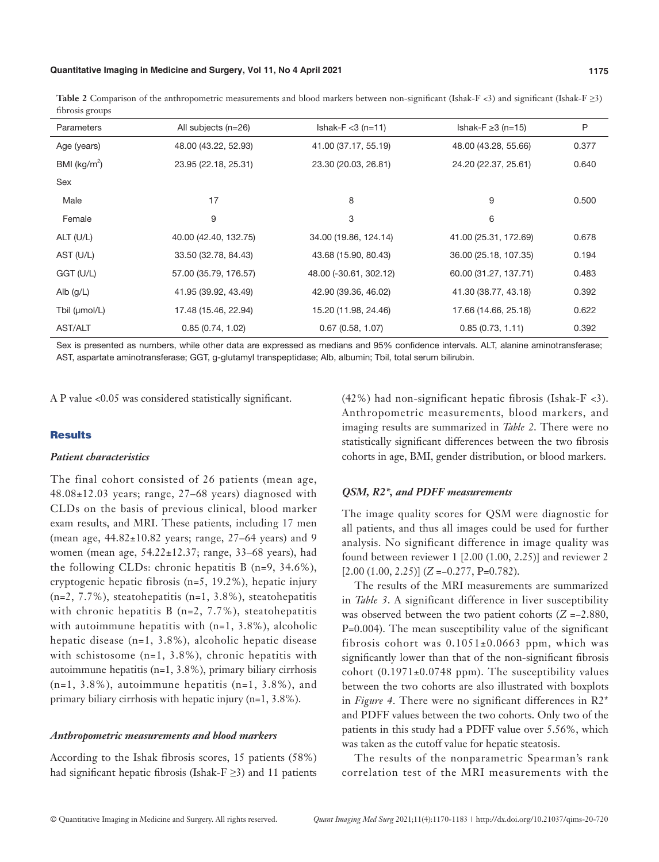#### **Quantitative Imaging in Medicine and Surgery, Vol 11, No 4 April 2021 1175**

**Table 2** Comparison of the anthropometric measurements and blood markers between non-significant (Ishak-F <3) and significant (Ishak-F ≥3) fibrosis groups

| Parameters      | All subjects $(n=26)$ | $Ishak-F < 3 (n=11)$   | Ishak-F $\geq$ 3 (n=15) | P     |
|-----------------|-----------------------|------------------------|-------------------------|-------|
| Age (years)     | 48.00 (43.22, 52.93)  | 41.00 (37.17, 55.19)   | 48.00 (43.28, 55.66)    | 0.377 |
| BMI ( $kg/m2$ ) | 23.95 (22.18, 25.31)  | 23.30 (20.03, 26.81)   | 24.20 (22.37, 25.61)    | 0.640 |
| Sex             |                       |                        |                         |       |
| Male            | 17                    | 8                      | 9                       | 0.500 |
| Female          | 9                     | 3                      | 6                       |       |
| ALT (U/L)       | 40.00 (42.40, 132.75) | 34.00 (19.86, 124.14)  | 41.00 (25.31, 172.69)   | 0.678 |
| AST (U/L)       | 33.50 (32.78, 84.43)  | 43.68 (15.90, 80.43)   | 36.00 (25.18, 107.35)   | 0.194 |
| GGT (U/L)       | 57.00 (35.79, 176.57) | 48.00 (-30.61, 302.12) | 60.00 (31.27, 137.71)   | 0.483 |
| Alb $(g/L)$     | 41.95 (39.92, 43.49)  | 42.90 (39.36, 46.02)   | 41.30 (38.77, 43.18)    | 0.392 |
| Tbil (µmol/L)   | 17.48 (15.46, 22.94)  | 15.20 (11.98, 24.46)   | 17.66 (14.66, 25.18)    | 0.622 |
| <b>AST/ALT</b>  | 0.85(0.74, 1.02)      | 0.67(0.58, 1.07)       | 0.85(0.73, 1.11)        | 0.392 |

Sex is presented as numbers, while other data are expressed as medians and 95% confidence intervals. ALT, alanine aminotransferase; AST, aspartate aminotransferase; GGT, g-glutamyl transpeptidase; Alb, albumin; Tbil, total serum bilirubin.

A P value <0.05 was considered statistically significant.

### **Results**

#### *Patient characteristics*

The final cohort consisted of 26 patients (mean age, 48.08±12.03 years; range, 27–68 years) diagnosed with CLDs on the basis of previous clinical, blood marker exam results, and MRI. These patients, including 17 men (mean age, 44.82±10.82 years; range, 27–64 years) and 9 women (mean age, 54.22±12.37; range, 33–68 years), had the following CLDs: chronic hepatitis B (n=9, 34.6%), cryptogenic hepatic fibrosis (n=5, 19.2%), hepatic injury (n=2, 7.7%), steatohepatitis (n=1, 3.8%), steatohepatitis with chronic hepatitis  $B(n=2, 7.7\%)$ , steatohepatitis with autoimmune hepatitis with (n=1, 3.8%), alcoholic hepatic disease (n=1, 3.8%), alcoholic hepatic disease with schistosome (n=1, 3.8%), chronic hepatitis with autoimmune hepatitis (n=1, 3.8%), primary biliary cirrhosis  $(n=1, 3.8\%)$ , autoimmune hepatitis  $(n=1, 3.8\%)$ , and primary biliary cirrhosis with hepatic injury (n=1, 3.8%).

#### *Anthropometric measurements and blood markers*

According to the Ishak fibrosis scores, 15 patients (58%) had significant hepatic fibrosis (Ishak-F  $\geq$ 3) and 11 patients (42%) had non-significant hepatic fibrosis (Ishak-F <3). Anthropometric measurements, blood markers, and imaging results are summarized in *Table 2*. There were no statistically significant differences between the two fibrosis cohorts in age, BMI, gender distribution, or blood markers.

#### *QSM, R2\*, and PDFF measurements*

The image quality scores for QSM were diagnostic for all patients, and thus all images could be used for further analysis. No significant difference in image quality was found between reviewer 1 [2.00 (1.00, 2.25)] and reviewer 2 [2.00 (1.00, 2.25)] (*Z* =−0.277, P=0.782).

The results of the MRI measurements are summarized in *Table 3*. A significant difference in liver susceptibility was observed between the two patient cohorts (*Z* =−2.880, P=0.004). The mean susceptibility value of the significant fibrosis cohort was  $0.1051\pm0.0663$  ppm, which was significantly lower than that of the non-significant fibrosis cohort  $(0.1971\pm0.0748$  ppm). The susceptibility values between the two cohorts are also illustrated with boxplots in *Figure 4*. There were no significant differences in R2\* and PDFF values between the two cohorts. Only two of the patients in this study had a PDFF value over 5.56%, which was taken as the cutoff value for hepatic steatosis.

The results of the nonparametric Spearman's rank correlation test of the MRI measurements with the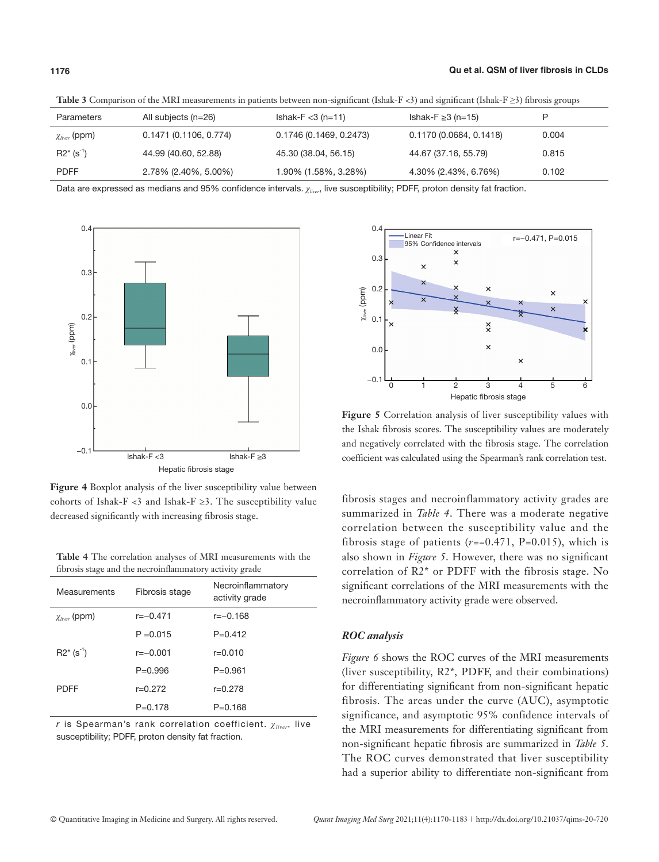| Parameters           | All subjects (n=26)    | $Ishak-F < 3(n=11)$     | Ishak-F $\geq$ 3 (n=15) | P     |
|----------------------|------------------------|-------------------------|-------------------------|-------|
| $\chi_{liver}$ (ppm) | 0.1471 (0.1106, 0.774) | 0.1746 (0.1469, 0.2473) | 0.1170 (0.0684, 0.1418) | 0.004 |
| $R2^*$ (s $^{-1}$ )  | 44.99 (40.60, 52.88)   | 45.30 (38.04, 56.15)    | 44.67 (37.16, 55.79)    | 0.815 |
| <b>PDFF</b>          | 2.78% (2.40%, 5.00%)   | 1.90% (1.58%, 3.28%)    | 4.30% (2.43%, 6.76%)    | 0.102 |

**Table 3** Comparison of the MRI measurements in patients between non-significant (Ishak-F <3) and significant (Ishak-F ≥3) fibrosis groups

Data are expressed as medians and 95% confidence intervals. *χliver*, live susceptibility; PDFF, proton density fat fraction.



**Figure 4** Boxplot analysis of the liver susceptibility value between cohorts of Ishak-F <3 and Ishak-F  $\geq$ 3. The susceptibility value decreased significantly with increasing fibrosis stage.

| Table 4 The correlation analyses of MRI measurements with the |  |
|---------------------------------------------------------------|--|
| fibrosis stage and the necroinflammatory activity grade       |  |

| Measurements              | Fibrosis stage | Necroinflammatory<br>activity grade |  |  |
|---------------------------|----------------|-------------------------------------|--|--|
| $\chi_{liver}$ (ppm)      | $r = -0.471$   | $r=-0.168$                          |  |  |
|                           | $P = 0.015$    | $P = 0.412$                         |  |  |
| $R2^*$ (s <sup>-1</sup> ) | $r = -0.001$   | $r = 0.010$                         |  |  |
|                           | $P = 0.996$    | $P = 0.961$                         |  |  |
| <b>PDFF</b>               | $r = 0.272$    | $r = 0.278$                         |  |  |
|                           | $P = 0.178$    | $P = 0.168$                         |  |  |

r is Spearman's rank correlation coefficient. *χliver*, live susceptibility; PDFF, proton density fat fraction.



**Figure 5** Correlation analysis of liver susceptibility values with the Ishak fibrosis scores. The susceptibility values are moderately and negatively correlated with the fibrosis stage. The correlation coefficient was calculated using the Spearman's rank correlation test.

fibrosis stages and necroinflammatory activity grades are summarized in *Table 4*. There was a moderate negative correlation between the susceptibility value and the fibrosis stage of patients (*r*=−0.471, P=0.015), which is also shown in *Figure 5*. However, there was no significant correlation of R2\* or PDFF with the fibrosis stage. No significant correlations of the MRI measurements with the necroinflammatory activity grade were observed.

# *ROC analysis*

*Figure 6* shows the ROC curves of the MRI measurements (liver susceptibility, R2\*, PDFF, and their combinations) for differentiating significant from non-significant hepatic fibrosis. The areas under the curve (AUC), asymptotic significance, and asymptotic 95% confidence intervals of the MRI measurements for differentiating significant from non-significant hepatic fibrosis are summarized in *Tabl[e 5](https://pubs.rsna.org/doi/10.1148/radiol.13122440?url_ver=Z39.88-2003&rfr_id=ori%3Arid%3Acrossref.org&rfr_dat=cr_pub%3Dpubmed&#tbl5)*. The ROC curves demonstrated that liver susceptibility had a superior ability to differentiate non-significant from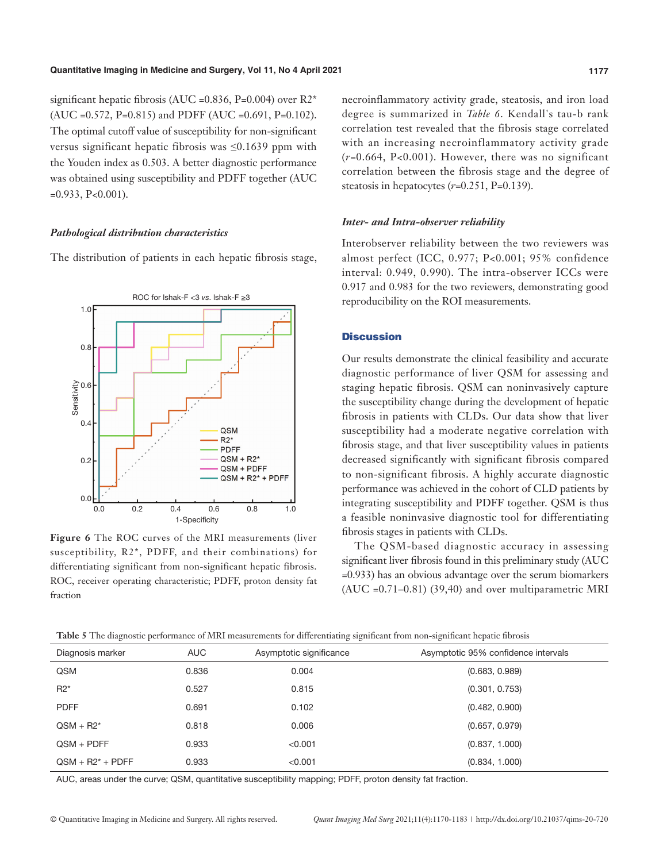significant hepatic fibrosis (AUC =  $0.836$ , P= $0.004$ ) over R2<sup>\*</sup>  $(AUC = 0.572, P=0.815)$  and PDFF  $(AUC = 0.691, P=0.102)$ . The optimal cutoff value of susceptibility for non-significant versus significant hepatic fibrosis was ≤0.1639 ppm with the Youden index as 0.503. A better diagnostic performance was obtained using susceptibility and PDFF together (AUC  $=0.933$ , P $<0.001$ ).

#### *Pathological distribution characteristics*

The distribution of patients in each hepatic fibrosis stage,



**Figure 6** The ROC curves of the MRI measurements (liver susceptibility, R2\*, PDFF, and their combinations) for differentiating significant from non-significant hepatic fibrosis. ROC, receiver operating characteristic; PDFF, proton density fat fraction

necroinflammatory activity grade, steatosis, and iron load degree is summarized in *Table 6*. Kendall's tau-b rank correlation test revealed that the fibrosis stage correlated with an increasing necroinflammatory activity grade (*r=*0.664, P<0.001). However, there was no significant correlation between the fibrosis stage and the degree of steatosis in hepatocytes (*r=*0.251, P=0.139).

#### *Inter- and Intra-observer reliability*

Interobserver reliability between the two reviewers was almost perfect (ICC, 0.977; P<0.001; 95% confidence interval: 0.949, 0.990). The intra-observer ICCs were 0.917 and 0.983 for the two reviewers, demonstrating good reproducibility on the ROI measurements.

#### **Discussion**

Our results demonstrate the clinical feasibility and accurate diagnostic performance of liver QSM for assessing and staging hepatic fibrosis. QSM can noninvasively capture the susceptibility change during the development of hepatic fibrosis in patients with CLDs. Our data show that liver susceptibility had a moderate negative correlation with fibrosis stage, and that liver susceptibility values in patients decreased significantly with significant fibrosis compared to non-significant fibrosis. A highly accurate diagnostic performance was achieved in the cohort of CLD patients by integrating susceptibility and PDFF together. QSM is thus a feasible noninvasive diagnostic tool for differentiating fibrosis stages in patients with CLDs.

The QSM-based diagnostic accuracy in assessing significant liver fibrosis found in this preliminary study (AUC =0.933) has an obvious advantage over the serum biomarkers (AUC =0.71–0.81) (39,40) and over multiparametric MRI

**Table 5** The diagnostic performance of MRI measurements for differentiating significant from non-significant hepatic fibrosis

| Diagnosis marker    | <b>AUC</b> | Asymptotic significance | Asymptotic 95% confidence intervals |
|---------------------|------------|-------------------------|-------------------------------------|
| <b>QSM</b>          | 0.836      | 0.004                   | (0.683, 0.989)                      |
| $R2^*$              | 0.527      | 0.815                   | (0.301, 0.753)                      |
| <b>PDFF</b>         | 0.691      | 0.102                   | (0.482, 0.900)                      |
| $QSM + R2^*$        | 0.818      | 0.006                   | (0.657, 0.979)                      |
| $OSM + PDFF$        | 0.933      | < 0.001                 | (0.837, 1.000)                      |
| $OSM + R2^* + PDFF$ | 0.933      | < 0.001                 | (0.834, 1.000)                      |

AUC, areas under the curve; QSM, quantitative susceptibility mapping; PDFF, proton density fat fraction.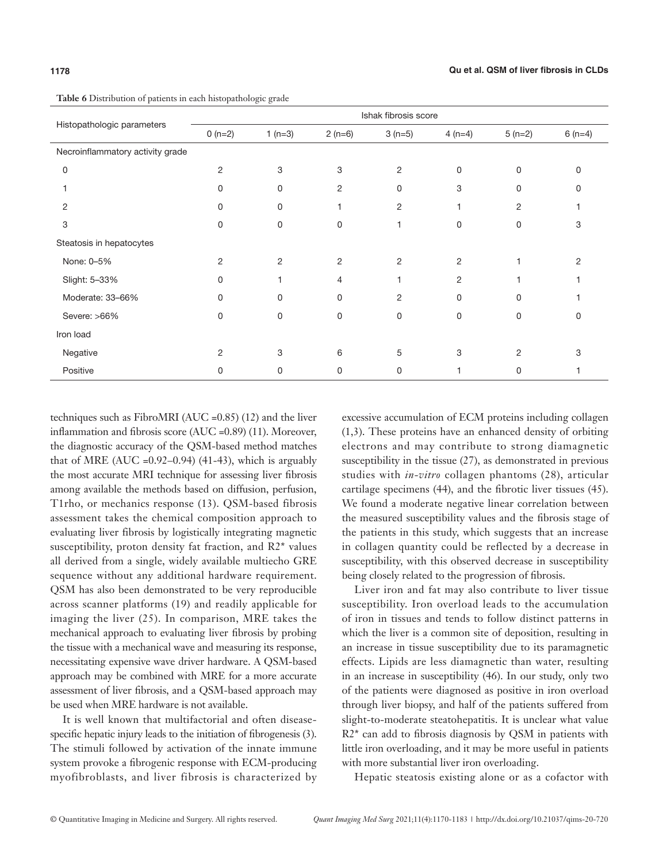|                                  |                |             |                | Ishak fibrosis score |             |          |          |
|----------------------------------|----------------|-------------|----------------|----------------------|-------------|----------|----------|
| Histopathologic parameters       |                |             |                |                      |             |          |          |
|                                  | $0(n=2)$       | 1 $(n=3)$   | $2(n=6)$       | $3(n=5)$             | $4(n=4)$    | $5(n=2)$ | $6(n=4)$ |
| Necroinflammatory activity grade |                |             |                |                      |             |          |          |
| $\mathbf 0$                      | $\overline{2}$ | 3           | 3              | $\overline{2}$       | $\mathbf 0$ | 0        | 0        |
| 1                                | $\mathbf 0$    | $\Omega$    | 2              | $\Omega$             | 3           | $\Omega$ | 0        |
| 2                                | $\mathbf 0$    | 0           | 1              | 2                    |             | 2        |          |
| 3                                | $\mathbf 0$    | $\mathbf 0$ | 0              |                      | $\Omega$    | $\Omega$ | 3        |
| Steatosis in hepatocytes         |                |             |                |                      |             |          |          |
| None: 0-5%                       | $\overline{2}$ | 2           | $\overline{c}$ | 2                    | 2           |          | 2        |
| Slight: 5-33%                    | $\mathbf 0$    |             | 4              |                      | 2           |          |          |
| Moderate: 33-66%                 | 0              | 0           | 0              | $\overline{2}$       | $\Omega$    | $\Omega$ |          |
| Severe: >66%                     | $\mathbf 0$    | $\mathbf 0$ | $\Omega$       | $\Omega$             | $\Omega$    | $\Omega$ |          |
| Iron load                        |                |             |                |                      |             |          |          |
| Negative                         | $\overline{2}$ | 3           | 6              | 5                    | 3           | 2        | 3        |
| Positive                         | 0              | 0           | 0              | 0                    | 1           | 0        |          |

**Table 6** Distribution of patients in each histopathologic grade

techniques such as FibroMRI (AUC =0.85) (12) and the liver inflammation and fibrosis score (AUC =0.89) (11). Moreover, the diagnostic accuracy of the QSM-based method matches that of MRE (AUC = $0.92-0.94$ ) (41-43), which is arguably the most accurate MRI technique for assessing liver fibrosis among available the methods based on diffusion, perfusion, T1rho, or mechanics response (13). QSM-based fibrosis assessment takes the chemical composition approach to evaluating liver fibrosis by logistically integrating magnetic susceptibility, proton density fat fraction, and R2\* values all derived from a single, widely available multiecho GRE sequence without any additional hardware requirement. QSM has also been demonstrated to be very reproducible across scanner platforms (19) and readily applicable for imaging the liver (25). In comparison, MRE takes the mechanical approach to evaluating liver fibrosis by probing the tissue with a mechanical wave and measuring its response, necessitating expensive wave driver hardware. A QSM-based approach may be combined with MRE for a more accurate assessment of liver fibrosis, and a QSM-based approach may be used when MRE hardware is not available.

It is well known that multifactorial and often diseasespecific hepatic injury leads to the initiation of fibrogenesis (3). The stimuli followed by activation of the innate immune system provoke a fibrogenic response with ECM-producing myofibroblasts, and liver fibrosis is characterized by excessive accumulation of ECM proteins including collagen (1,3). These proteins have an enhanced density of orbiting electrons and may contribute to strong diamagnetic susceptibility in the tissue (27), as demonstrated in previous studies with *in*-*vitro* collagen phantoms (28), articular cartilage specimens (44), and the fibrotic liver tissues (45). We found a moderate negative linear correlation between the measured susceptibility values and the fibrosis stage of the patients in this study, which suggests that an increase in collagen quantity could be reflected by a decrease in susceptibility, with this observed decrease in susceptibility being closely related to the progression of fibrosis.

Liver iron and fat may also contribute to liver tissue susceptibility. Iron overload leads to the accumulation of iron in tissues and tends to follow distinct patterns in which the liver is a common site of deposition, resulting in an increase in tissue susceptibility due to its paramagnetic effects. Lipids are less diamagnetic than water, resulting in an increase in susceptibility (46). In our study, only two of the patients were diagnosed as positive in iron overload through liver biopsy, and half of the patients suffered from slight-to-moderate steatohepatitis. It is unclear what value R2\* can add to fibrosis diagnosis by QSM in patients with little iron overloading, and it may be more useful in patients with more substantial liver iron overloading.

Hepatic steatosis existing alone or as a cofactor with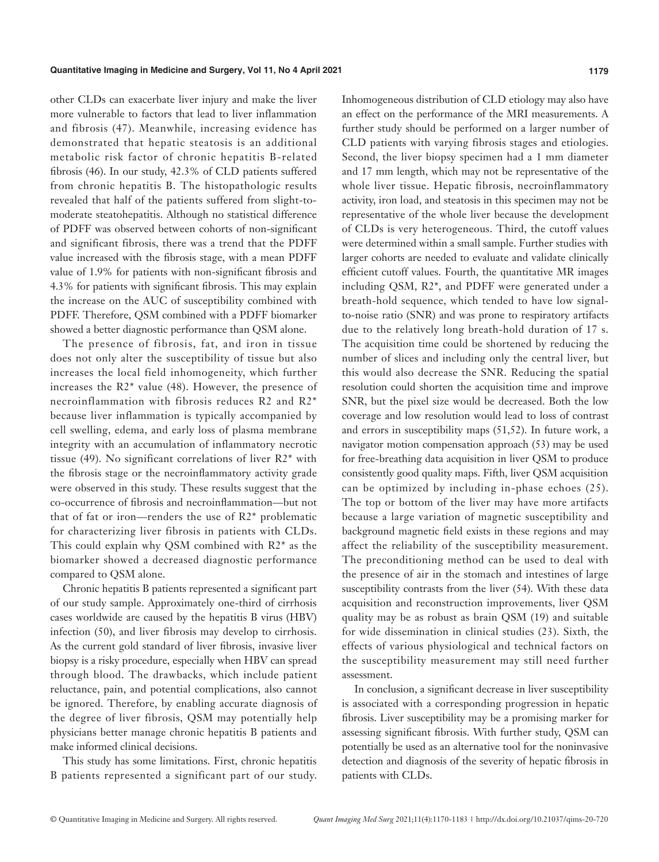other CLDs can exacerbate liver injury and make the liver more vulnerable to factors that lead to liver inflammation and fibrosis (47). Meanwhile, increasing evidence has demonstrated that hepatic steatosis is an additional metabolic risk factor of chronic hepatitis B-related fibrosis (46). In our study, 42.3% of CLD patients suffered from chronic hepatitis B. The histopathologic results revealed that half of the patients suffered from slight-tomoderate steatohepatitis. Although no statistical difference of PDFF was observed between cohorts of non-significant and significant fibrosis, there was a trend that the PDFF value increased with the fibrosis stage, with a mean PDFF value of 1.9% for patients with non-significant fibrosis and 4.3% for patients with significant fibrosis. This may explain the increase on the AUC of susceptibility combined with PDFF. Therefore, QSM combined with a PDFF biomarker showed a better diagnostic performance than QSM alone.

The presence of fibrosis, fat, and iron in tissue does not only alter the susceptibility of tissue but also increases the local field inhomogeneity, which further increases the R2\* value (48). However, the presence of necroinflammation with fibrosis reduces R2 and R2\* because liver inflammation is typically accompanied by cell swelling, edema, and early loss of plasma membrane integrity with an accumulation of inflammatory necrotic tissue (49). No significant correlations of liver R2\* with the fibrosis stage or the necroinflammatory activity grade were observed in this study. These results suggest that the co-occurrence of fibrosis and necroinflammation—but not that of fat or iron—renders the use of R2\* problematic for characterizing liver fibrosis in patients with CLDs. This could explain why QSM combined with R2\* as the biomarker showed a decreased diagnostic performance compared to QSM alone.

Chronic hepatitis B patients represented a significant part of our study sample. Approximately one-third of cirrhosis cases worldwide are caused by the hepatitis B virus (HBV) infection (50), and liver fibrosis may develop to cirrhosis. As the current gold standard of liver fibrosis, invasive liver biopsy is a risky procedure, especially when HBV can spread through blood. The drawbacks, which include patient reluctance, pain, and potential complications, also cannot be ignored. Therefore, by enabling accurate diagnosis of the degree of liver fibrosis, QSM may potentially help physicians better manage chronic hepatitis B patients and make informed clinical decisions.

This study has some limitations. First, chronic hepatitis B patients represented a significant part of our study. Inhomogeneous distribution of CLD etiology may also have an effect on the performance of the MRI measurements. A further study should be performed on a larger number of CLD patients with varying fibrosis stages and etiologies. Second, the liver biopsy specimen had a 1 mm diameter and 17 mm length, which may not be representative of the whole liver tissue. Hepatic fibrosis, necroinflammatory activity, iron load, and steatosis in this specimen may not be representative of the whole liver because the development of CLDs is very heterogeneous. Third, the cutoff values were determined within a small sample. Further studies with larger cohorts are needed to evaluate and validate clinically efficient cutoff values. Fourth, the quantitative MR images including QSM, R2\*, and PDFF were generated under a breath-hold sequence, which tended to have low signalto-noise ratio (SNR) and was prone to respiratory artifacts due to the relatively long breath-hold duration of 17 s. The acquisition time could be shortened by reducing the number of slices and including only the central liver, but this would also decrease the SNR. Reducing the spatial resolution could shorten the acquisition time and improve SNR, but the pixel size would be decreased. Both the low coverage and low resolution would lead to loss of contrast and errors in susceptibility maps (51,52). In future work, a navigator motion compensation approach (53) may be used for free-breathing data acquisition in liver QSM to produce consistently good quality maps. Fifth, liver QSM acquisition can be optimized by including in-phase echoes (25). The top or bottom of the liver may have more artifacts because a large variation of magnetic susceptibility and background magnetic field exists in these regions and may affect the reliability of the susceptibility measurement. The preconditioning method can be used to deal with the presence of air in the stomach and intestines of large susceptibility contrasts from the liver (54). With these data acquisition and reconstruction improvements, liver QSM quality may be as robust as brain QSM (19) and suitable for wide dissemination in clinical studies (23). Sixth, the effects of various physiological and technical factors on the susceptibility measurement may still need further assessment.

In conclusion, a significant decrease in liver susceptibility is associated with a corresponding progression in hepatic fibrosis. Liver susceptibility may be a promising marker for assessing significant fibrosis. With further study, QSM can potentially be used as an alternative tool for the noninvasive detection and diagnosis of the severity of hepatic fibrosis in patients with CLDs.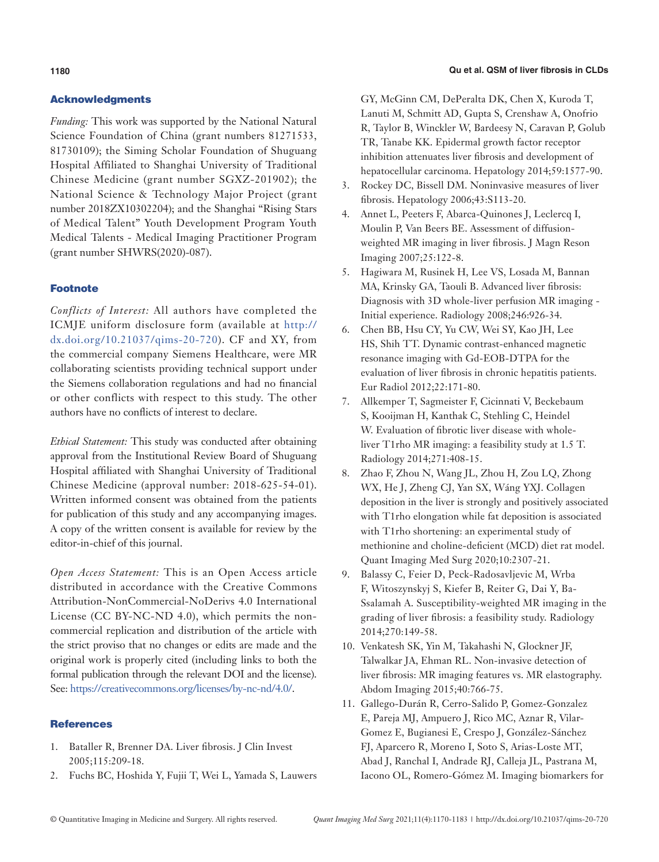# Acknowledgments

*Funding:* This work was supported by the National Natural Science Foundation of China (grant numbers 81271533, 81730109); the Siming Scholar Foundation of Shuguang Hospital Affiliated to Shanghai University of Traditional Chinese Medicine (grant number SGXZ-201902); the National Science & Technology Major Project (grant number 2018ZX10302204); and the Shanghai "Rising Stars of Medical Talent" Youth Development Program Youth Medical Talents - Medical Imaging Practitioner Program (grant number SHWRS(2020)-087).

# Footnote

*Conflicts of Interest:* All authors have completed the ICMJE uniform disclosure form (available at [http://](http://dx.doi.org/10.21037/qims-20-720) [dx.doi.org/10.21037/qims-20-720](http://dx.doi.org/10.21037/qims-20-720)). CF and XY, from the commercial company Siemens Healthcare, were MR collaborating scientists providing technical support under the Siemens collaboration regulations and had no financial or other conflicts with respect to this study. The other authors have no conflicts of interest to declare.

*Ethical Statement:* This study was conducted after obtaining approval from the Institutional Review Board of Shuguang Hospital affiliated with Shanghai University of Traditional Chinese Medicine (approval number: 2018-625-54-01). Written informed consent was obtained from the patients for publication of this study and any accompanying images. A copy of the written consent is available for review by the editor-in-chief of this journal.

*Open Access Statement:* This is an Open Access article distributed in accordance with the Creative Commons Attribution-NonCommercial-NoDerivs 4.0 International License (CC BY-NC-ND 4.0), which permits the noncommercial replication and distribution of the article with the strict proviso that no changes or edits are made and the original work is properly cited (including links to both the formal publication through the relevant DOI and the license). See: [https://creativecommons.org/licenses/by-nc-nd/4.0/.](https://creativecommons.org/licenses/by-nc-nd/4.0/)

### **References**

- 1. Bataller R, Brenner DA. Liver fibrosis. J Clin Invest 2005;115:209-18.
- 2. Fuchs BC, Hoshida Y, Fujii T, Wei L, Yamada S, Lauwers

GY, McGinn CM, DePeralta DK, Chen X, Kuroda T, Lanuti M, Schmitt AD, Gupta S, Crenshaw A, Onofrio R, Taylor B, Winckler W, Bardeesy N, Caravan P, Golub TR, Tanabe KK. Epidermal growth factor receptor inhibition attenuates liver fibrosis and development of hepatocellular carcinoma. Hepatology 2014;59:1577-90.

- 3. Rockey DC, Bissell DM. Noninvasive measures of liver fibrosis. Hepatology 2006;43:S113-20.
- 4. Annet L, Peeters F, Abarca-Quinones J, Leclercq I, Moulin P, Van Beers BE. Assessment of diffusionweighted MR imaging in liver fibrosis. J Magn Reson Imaging 2007;25:122-8.
- 5. Hagiwara M, Rusinek H, Lee VS, Losada M, Bannan MA, Krinsky GA, Taouli B. Advanced liver fibrosis: Diagnosis with 3D whole-liver perfusion MR imaging - Initial experience. Radiology 2008;246:926-34.
- 6. Chen BB, Hsu CY, Yu CW, Wei SY, Kao JH, Lee HS, Shih TT. Dynamic contrast-enhanced magnetic resonance imaging with Gd-EOB-DTPA for the evaluation of liver fibrosis in chronic hepatitis patients. Eur Radiol 2012;22:171-80.
- 7. Allkemper T, Sagmeister F, Cicinnati V, Beckebaum S, Kooijman H, Kanthak C, Stehling C, Heindel W. Evaluation of fibrotic liver disease with wholeliver T1rho MR imaging: a feasibility study at 1.5 T. Radiology 2014;271:408-15.
- 8. Zhao F, Zhou N, Wang JL, Zhou H, Zou LQ, Zhong WX, He J, Zheng CJ, Yan SX, Wáng YXJ. Collagen deposition in the liver is strongly and positively associated with T1rho elongation while fat deposition is associated with T1rho shortening: an experimental study of methionine and choline-deficient (MCD) diet rat model. Quant Imaging Med Surg 2020;10:2307-21.
- 9. Balassy C, Feier D, Peck-Radosavljevic M, Wrba F, Witoszynskyj S, Kiefer B, Reiter G, Dai Y, Ba-Ssalamah A. Susceptibility-weighted MR imaging in the grading of liver fibrosis: a feasibility study. Radiology 2014;270:149-58.
- 10. Venkatesh SK, Yin M, Takahashi N, Glockner JF, Talwalkar JA, Ehman RL. Non-invasive detection of liver fibrosis: MR imaging features vs. MR elastography. Abdom Imaging 2015;40:766-75.
- 11. Gallego-Durán R, Cerro-Salido P, Gomez-Gonzalez E, Pareja MJ, Ampuero J, Rico MC, Aznar R, Vilar-Gomez E, Bugianesi E, Crespo J, González-Sánchez FJ, Aparcero R, Moreno I, Soto S, Arias-Loste MT, Abad J, Ranchal I, Andrade RJ, Calleja JL, Pastrana M, Iacono OL, Romero-Gómez M. Imaging biomarkers for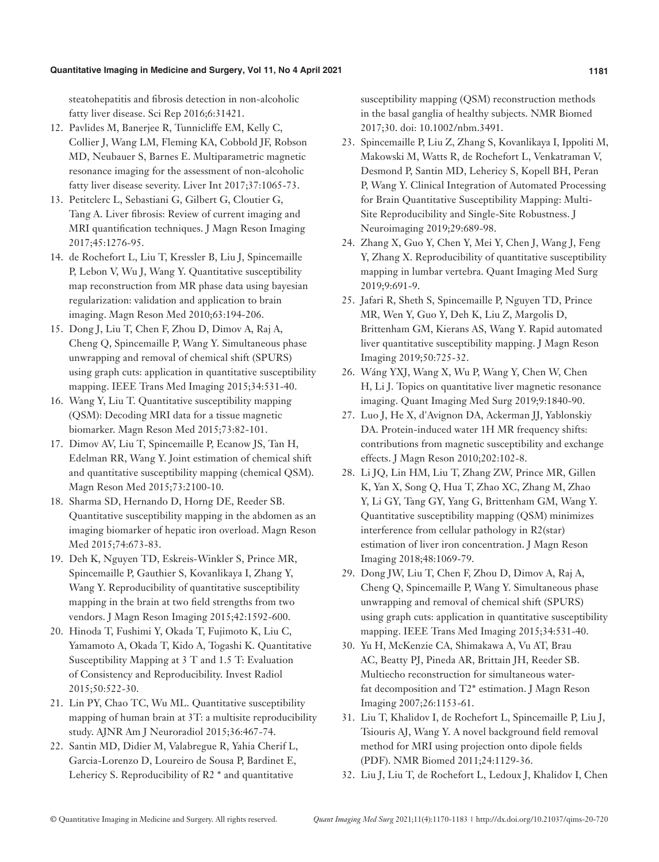#### **Quantitative Imaging in Medicine and Surgery, Vol 11, No 4 April 2021 1181**

steatohepatitis and fibrosis detection in non-alcoholic fatty liver disease. Sci Rep 2016;6:31421.

- 12. Pavlides M, Banerjee R, Tunnicliffe EM, Kelly C, Collier J, Wang LM, Fleming KA, Cobbold JF, Robson MD, Neubauer S, Barnes E. Multiparametric magnetic resonance imaging for the assessment of non-alcoholic fatty liver disease severity. Liver Int 2017;37:1065-73.
- 13. Petitclerc L, Sebastiani G, Gilbert G, Cloutier G, Tang A. Liver fibrosis: Review of current imaging and MRI quantification techniques. J Magn Reson Imaging 2017;45:1276-95.
- 14. de Rochefort L, Liu T, Kressler B, Liu J, Spincemaille P, Lebon V, Wu J, Wang Y. Quantitative susceptibility map reconstruction from MR phase data using bayesian regularization: validation and application to brain imaging. Magn Reson Med 2010;63:194-206.
- 15. Dong J, Liu T, Chen F, Zhou D, Dimov A, Raj A, Cheng Q, Spincemaille P, Wang Y. Simultaneous phase unwrapping and removal of chemical shift (SPURS) using graph cuts: application in quantitative susceptibility mapping. IEEE Trans Med Imaging 2015;34:531-40.
- 16. Wang Y, Liu T. Quantitative susceptibility mapping (QSM): Decoding MRI data for a tissue magnetic biomarker. Magn Reson Med 2015;73:82-101.
- 17. Dimov AV, Liu T, Spincemaille P, Ecanow JS, Tan H, Edelman RR, Wang Y. Joint estimation of chemical shift and quantitative susceptibility mapping (chemical QSM). Magn Reson Med 2015;73:2100-10.
- 18. Sharma SD, Hernando D, Horng DE, Reeder SB. Quantitative susceptibility mapping in the abdomen as an imaging biomarker of hepatic iron overload. Magn Reson Med 2015;74:673-83.
- 19. Deh K, Nguyen TD, Eskreis-Winkler S, Prince MR, Spincemaille P, Gauthier S, Kovanlikaya I, Zhang Y, Wang Y. Reproducibility of quantitative susceptibility mapping in the brain at two field strengths from two vendors. J Magn Reson Imaging 2015;42:1592-600.
- 20. Hinoda T, Fushimi Y, Okada T, Fujimoto K, Liu C, Yamamoto A, Okada T, Kido A, Togashi K. Quantitative Susceptibility Mapping at 3 T and 1.5 T: Evaluation of Consistency and Reproducibility. Invest Radiol 2015;50:522-30.
- 21. Lin PY, Chao TC, Wu ML. Quantitative susceptibility mapping of human brain at 3T: a multisite reproducibility study. AJNR Am J Neuroradiol 2015;36:467-74.
- 22. Santin MD, Didier M, Valabregue R, Yahia Cherif L, Garcia-Lorenzo D, Loureiro de Sousa P, Bardinet E, Lehericy S. Reproducibility of R2 \* and quantitative

susceptibility mapping (QSM) reconstruction methods in the basal ganglia of healthy subjects. NMR Biomed 2017;30. doi: 10.1002/nbm.3491.

- 23. Spincemaille P, Liu Z, Zhang S, Kovanlikaya I, Ippoliti M, Makowski M, Watts R, de Rochefort L, Venkatraman V, Desmond P, Santin MD, Lehericy S, Kopell BH, Peran P, Wang Y. Clinical Integration of Automated Processing for Brain Quantitative Susceptibility Mapping: Multi-Site Reproducibility and Single-Site Robustness. J Neuroimaging 2019;29:689-98.
- 24. Zhang X, Guo Y, Chen Y, Mei Y, Chen J, Wang J, Feng Y, Zhang X. Reproducibility of quantitative susceptibility mapping in lumbar vertebra. Quant Imaging Med Surg 2019;9:691-9.
- 25. Jafari R, Sheth S, Spincemaille P, Nguyen TD, Prince MR, Wen Y, Guo Y, Deh K, Liu Z, Margolis D, Brittenham GM, Kierans AS, Wang Y. Rapid automated liver quantitative susceptibility mapping. J Magn Reson Imaging 2019;50:725-32.
- 26. Wáng YXJ, Wang X, Wu P, Wang Y, Chen W, Chen H, Li J. Topics on quantitative liver magnetic resonance imaging. Quant Imaging Med Surg 2019;9:1840-90.
- 27. Luo J, He X, d'Avignon DA, Ackerman JJ, Yablonskiy DA. Protein-induced water 1H MR frequency shifts: contributions from magnetic susceptibility and exchange effects. J Magn Reson 2010;202:102-8.
- 28. Li JQ, Lin HM, Liu T, Zhang ZW, Prince MR, Gillen K, Yan X, Song Q, Hua T, Zhao XC, Zhang M, Zhao Y, Li GY, Tang GY, Yang G, Brittenham GM, Wang Y. Quantitative susceptibility mapping (QSM) minimizes interference from cellular pathology in R2(star) estimation of liver iron concentration. J Magn Reson Imaging 2018;48:1069-79.
- 29. Dong JW, Liu T, Chen F, Zhou D, Dimov A, Raj A, Cheng Q, Spincemaille P, Wang Y. Simultaneous phase unwrapping and removal of chemical shift (SPURS) using graph cuts: application in quantitative susceptibility mapping. IEEE Trans Med Imaging 2015;34:531-40.
- 30. Yu H, McKenzie CA, Shimakawa A, Vu AT, Brau AC, Beatty PJ, Pineda AR, Brittain JH, Reeder SB. Multiecho reconstruction for simultaneous waterfat decomposition and T2\* estimation. J Magn Reson Imaging 2007;26:1153-61.
- 31. Liu T, Khalidov I, de Rochefort L, Spincemaille P, Liu J, Tsiouris AJ, Wang Y. A novel background field removal method for MRI using projection onto dipole fields (PDF). NMR Biomed 2011;24:1129-36.
- 32. Liu J, Liu T, de Rochefort L, Ledoux J, Khalidov I, Chen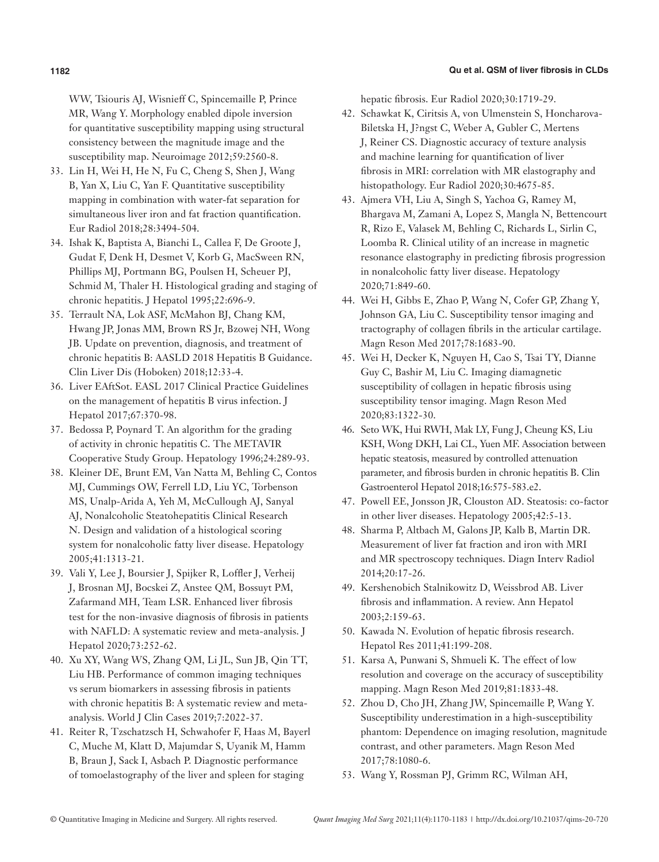#### **1182 Qu et al. QSM of liver fibrosis in CLDs**

WW, Tsiouris AJ, Wisnieff C, Spincemaille P, Prince MR, Wang Y. Morphology enabled dipole inversion for quantitative susceptibility mapping using structural consistency between the magnitude image and the susceptibility map. Neuroimage 2012;59:2560-8.

- 33. Lin H, Wei H, He N, Fu C, Cheng S, Shen J, Wang B, Yan X, Liu C, Yan F. Quantitative susceptibility mapping in combination with water-fat separation for simultaneous liver iron and fat fraction quantification. Eur Radiol 2018;28:3494-504.
- 34. Ishak K, Baptista A, Bianchi L, Callea F, De Groote J, Gudat F, Denk H, Desmet V, Korb G, MacSween RN, Phillips MJ, Portmann BG, Poulsen H, Scheuer PJ, Schmid M, Thaler H. Histological grading and staging of chronic hepatitis. J Hepatol 1995;22:696-9.
- 35. Terrault NA, Lok ASF, McMahon BJ, Chang KM, Hwang JP, Jonas MM, Brown RS Jr, Bzowej NH, Wong JB. Update on prevention, diagnosis, and treatment of chronic hepatitis B: AASLD 2018 Hepatitis B Guidance. Clin Liver Dis (Hoboken) 2018;12:33-4.
- 36. Liver EAftSot. EASL 2017 Clinical Practice Guidelines on the management of hepatitis B virus infection. J Hepatol 2017;67:370-98.
- 37. Bedossa P, Poynard T. An algorithm for the grading of activity in chronic hepatitis C. The METAVIR Cooperative Study Group. Hepatology 1996;24:289-93.
- 38. Kleiner DE, Brunt EM, Van Natta M, Behling C, Contos MJ, Cummings OW, Ferrell LD, Liu YC, Torbenson MS, Unalp-Arida A, Yeh M, McCullough AJ, Sanyal AJ, Nonalcoholic Steatohepatitis Clinical Research N. Design and validation of a histological scoring system for nonalcoholic fatty liver disease. Hepatology 2005;41:1313-21.
- 39. Vali Y, Lee J, Boursier J, Spijker R, Loffler J, Verheij J, Brosnan MJ, Bocskei Z, Anstee QM, Bossuyt PM, Zafarmand MH, Team LSR. Enhanced liver fibrosis test for the non-invasive diagnosis of fibrosis in patients with NAFLD: A systematic review and meta-analysis. J Hepatol 2020;73:252-62.
- 40. Xu XY, Wang WS, Zhang QM, Li JL, Sun JB, Qin TT, Liu HB. Performance of common imaging techniques vs serum biomarkers in assessing fibrosis in patients with chronic hepatitis B: A systematic review and metaanalysis. World J Clin Cases 2019;7:2022-37.
- 41. Reiter R, Tzschatzsch H, Schwahofer F, Haas M, Bayerl C, Muche M, Klatt D, Majumdar S, Uyanik M, Hamm B, Braun J, Sack I, Asbach P. Diagnostic performance of tomoelastography of the liver and spleen for staging

hepatic fibrosis. Eur Radiol 2020;30:1719-29.

- 42. Schawkat K, Ciritsis A, von Ulmenstein S, Honcharova-Biletska H, J?ngst C, Weber A, Gubler C, Mertens J, Reiner CS. Diagnostic accuracy of texture analysis and machine learning for quantification of liver fibrosis in MRI: correlation with MR elastography and histopathology. Eur Radiol 2020;30:4675-85.
- 43. Ajmera VH, Liu A, Singh S, Yachoa G, Ramey M, Bhargava M, Zamani A, Lopez S, Mangla N, Bettencourt R, Rizo E, Valasek M, Behling C, Richards L, Sirlin C, Loomba R. Clinical utility of an increase in magnetic resonance elastography in predicting fibrosis progression in nonalcoholic fatty liver disease. Hepatology 2020;71:849-60.
- 44. Wei H, Gibbs E, Zhao P, Wang N, Cofer GP, Zhang Y, Johnson GA, Liu C. Susceptibility tensor imaging and tractography of collagen fibrils in the articular cartilage. Magn Reson Med 2017;78:1683-90.
- 45. Wei H, Decker K, Nguyen H, Cao S, Tsai TY, Dianne Guy C, Bashir M, Liu C. Imaging diamagnetic susceptibility of collagen in hepatic fibrosis using susceptibility tensor imaging. Magn Reson Med 2020;83:1322-30.
- 46. Seto WK, Hui RWH, Mak LY, Fung J, Cheung KS, Liu KSH, Wong DKH, Lai CL, Yuen MF. Association between hepatic steatosis, measured by controlled attenuation parameter, and fibrosis burden in chronic hepatitis B. Clin Gastroenterol Hepatol 2018;16:575-583.e2.
- 47. Powell EE, Jonsson JR, Clouston AD. Steatosis: co-factor in other liver diseases. Hepatology 2005;42:5-13.
- 48. Sharma P, Altbach M, Galons JP, Kalb B, Martin DR. Measurement of liver fat fraction and iron with MRI and MR spectroscopy techniques. Diagn Interv Radiol 2014;20:17-26.
- 49. Kershenobich Stalnikowitz D, Weissbrod AB. Liver fibrosis and inflammation. A review. Ann Hepatol 2003;2:159-63.
- 50. Kawada N. Evolution of hepatic fibrosis research. Hepatol Res 2011;41:199-208.
- 51. Karsa A, Punwani S, Shmueli K. The effect of low resolution and coverage on the accuracy of susceptibility mapping. Magn Reson Med 2019;81:1833-48.
- 52. Zhou D, Cho JH, Zhang JW, Spincemaille P, Wang Y. Susceptibility underestimation in a high-susceptibility phantom: Dependence on imaging resolution, magnitude contrast, and other parameters. Magn Reson Med 2017;78:1080-6.
- 53. Wang Y, Rossman PJ, Grimm RC, Wilman AH,